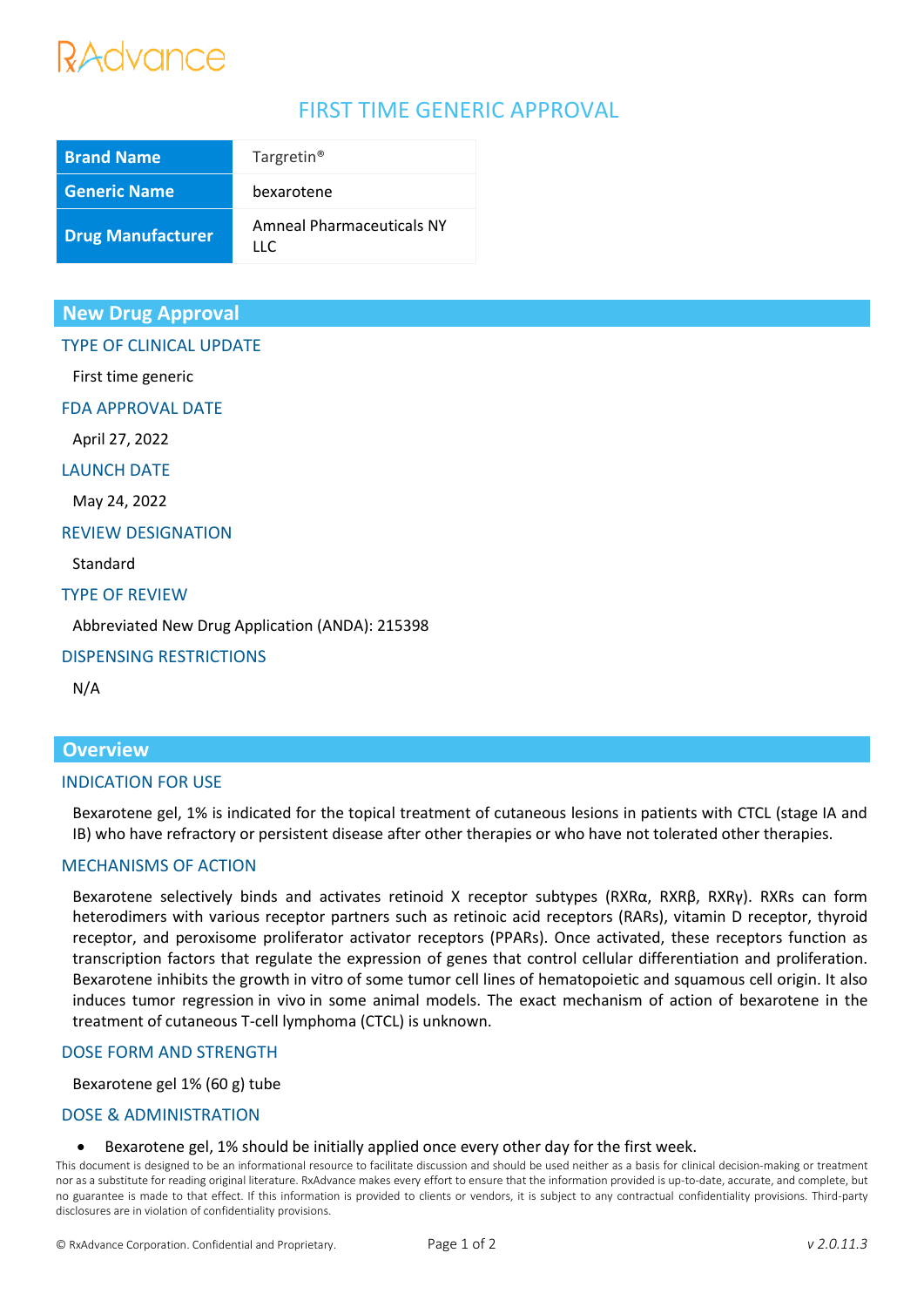# RAdvance

# FIRST TIME GENERIC APPROVAL

| <b>Brand Name</b>        | Targretin <sup>®</sup>                  |
|--------------------------|-----------------------------------------|
| <b>Generic Name</b>      | bexarotene                              |
| <b>Drug Manufacturer</b> | Amneal Pharmaceuticals NY<br>$\sqcup$ C |

# **New Drug Approval**

# TYPE OF CLINICAL UPDATE

First time generic

FDA APPROVAL DATE

April 27, 2022

LAUNCH DATE

May 24, 2022

#### REVIEW DESIGNATION

Standard

## TYPE OF REVIEW

Abbreviated New Drug Application (ANDA): 215398

## DISPENSING RESTRICTIONS

N/A

# **Overview**

## INDICATION FOR USE

Bexarotene gel, 1% is indicated for the topical treatment of cutaneous lesions in patients with CTCL (stage IA and IB) who have refractory or persistent disease after other therapies or who have not tolerated other therapies.

## MECHANISMS OF ACTION

Bexarotene selectively binds and activates retinoid X receptor subtypes (RXRα, RXRβ, RXRγ). RXRs can form heterodimers with various receptor partners such as retinoic acid receptors (RARs), vitamin D receptor, thyroid receptor, and peroxisome proliferator activator receptors (PPARs). Once activated, these receptors function as transcription factors that regulate the expression of genes that control cellular differentiation and proliferation. Bexarotene inhibits the growth in vitro of some tumor cell lines of hematopoietic and squamous cell origin. It also induces tumor regression in vivo in some animal models. The exact mechanism of action of bexarotene in the treatment of cutaneous T-cell lymphoma (CTCL) is unknown.

## DOSE FORM AND STRENGTH

Bexarotene gel 1% (60 g) tube

## DOSE & ADMINISTRATION

• Bexarotene gel, 1% should be initially applied once every other day for the first week.

This document is designed to be an informational resource to facilitate discussion and should be used neither as a basis for clinical decision-making or treatment nor as a substitute for reading original literature. RxAdvance makes every effort to ensure that the information provided is up-to-date, accurate, and complete, but no guarantee is made to that effect. If this information is provided to clients or vendors, it is subject to any contractual confidentiality provisions. Third-party disclosures are in violation of confidentiality provisions.